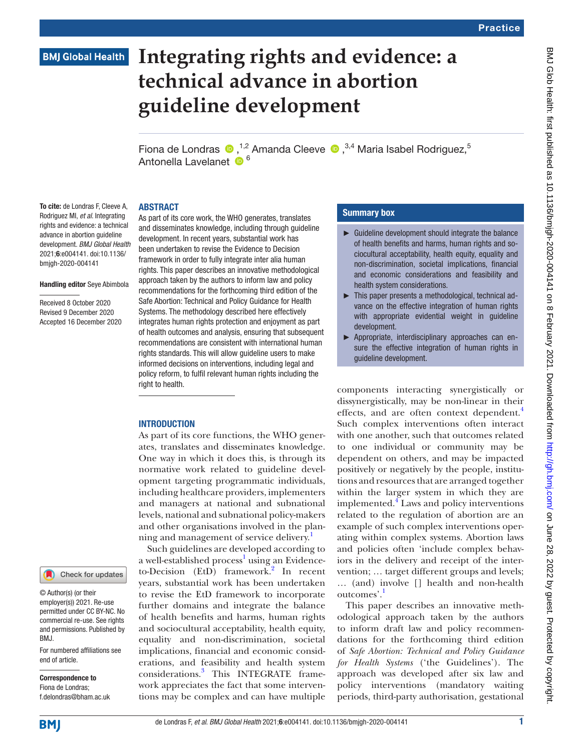## **BMJ Global Health**

# **Integrating rights and evidence: a technical advance in abortion guideline development**

Fionade Londras  $\bullet$ ,<sup>1,2</sup> Amanda Cleeve  $\bullet$ ,<sup>3,4</sup> Maria Isabel Rodriguez,<sup>5</sup> Antonella Lavelanet <sup>66</sup>

#### ABSTRACT

To cite: de Londras F, Cleeve A, Rodriguez MI, *et al*. Integrating rights and evidence: a technical advance in abortion guideline development. *BMJ Global Health* 2021;6:e004141. doi:10.1136/ bmjgh-2020-004141

#### Handling editor Seye Abimbola

Received 8 October 2020 Revised 9 December 2020 Accepted 16 December 2020 As part of its core work, the WHO generates, translates and disseminates knowledge, including through guideline development. In recent years, substantial work has been undertaken to revise the Evidence to Decision framework in order to fully integrate inter alia human rights. This paper describes an innovative methodological approach taken by the authors to inform law and policy recommendations for the forthcoming third edition of the Safe Abortion: Technical and Policy Guidance for Health Systems. The methodology described here effectively integrates human rights protection and enjoyment as part of health outcomes and analysis, ensuring that subsequent recommendations are consistent with international human rights standards. This will allow guideline users to make informed decisions on interventions, including legal and policy reform, to fulfil relevant human rights including the right to health.

#### INTRODUCTION

As part of its core functions, the WHO generates, translates and disseminates knowledge. One way in which it does this, is through its normative work related to guideline development targeting programmatic individuals, including healthcare providers, implementers and managers at national and subnational levels, national and subnational policy-makers and other organisations involved in the planning and management of service delivery.<sup>1</sup>

Such guidelines are developed according to a well-established process<sup>1</sup> using an Evidence-to-Decision (EtD) framework.<sup>[2](#page-5-1)</sup> In recent years, substantial work has been undertaken to revise the EtD framework to incorporate further domains and integrate the balance of health benefits and harms, human rights and sociocultural acceptability, health equity, equality and non-discrimination, societal implications, financial and economic considerations, and feasibility and health system considerations.[3](#page-5-2) This INTEGRATE framework appreciates the fact that some interventions may be complex and can have multiple

#### Summary box

- $\blacktriangleright$  Guideline development should integrate the balance of health benefits and harms, human rights and sociocultural acceptability, health equity, equality and non-discrimination, societal implications, financial and economic considerations and feasibility and health system considerations.
- ► This paper presents a methodological, technical advance on the effective integration of human rights with appropriate evidential weight in quideline development.
- ► Appropriate, interdisciplinary approaches can ensure the effective integration of human rights in guideline development.

components interacting synergistically or dissynergistically, may be non-linear in their effects, and are often context dependent.<sup>[4](#page-5-3)</sup> Such complex interventions often interact with one another, such that outcomes related to one individual or community may be dependent on others, and may be impacted positively or negatively by the people, institutions and resources that are arranged together within the larger system in which they are implemented.[4](#page-5-3) Laws and policy interventions related to the regulation of abortion are an example of such complex interventions operating within complex systems. Abortion laws and policies often 'include complex behaviors in the delivery and receipt of the intervention; … target different groups and levels; … (and) involve [] health and non-health outcomes'.[1](#page-5-0)

This paper describes an innovative methodological approach taken by the authors to inform draft law and policy recommendations for the forthcoming third edition of *Safe Abortion: Technical and Policy Guidance for Health Systems* ('the Guidelines'). The approach was developed after six law and policy interventions (mandatory waiting periods, third-party authorisation, gestational

**BMJ** 

end of article.

BMJ.

Correspondence to Fiona de Londras; f.delondras@bham.ac.uk

© Author(s) (or their employer(s)) 2021. Re-use permitted under CC BY-NC. No commercial re-use. See rights and permissions. Published by

For numbered affiliations see

Check for updates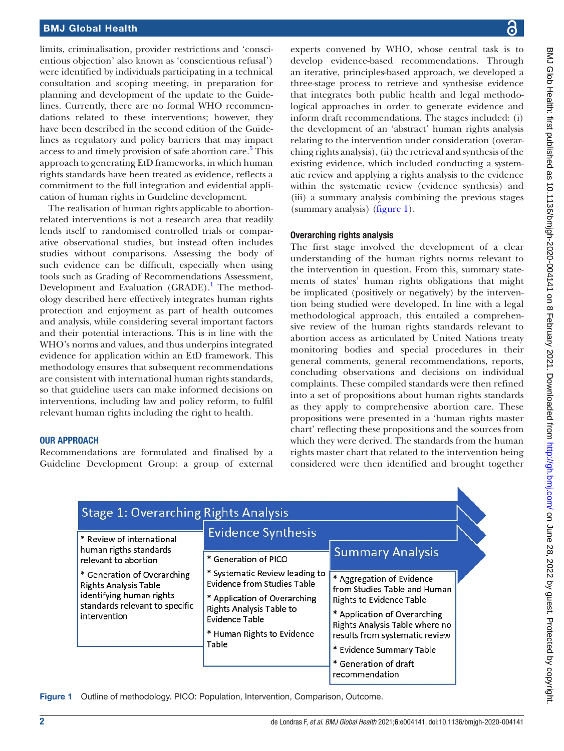#### BMJ Global Health

limits, criminalisation, provider restrictions and 'conscientious objection' also known as 'conscientious refusal') were identified by individuals participating in a technical consultation and scoping meeting, in preparation for planning and development of the update to the Guidelines. Currently, there are no formal WHO recommendations related to these interventions; however, they have been described in the second edition of the Guidelines as regulatory and policy barriers that may impact access to and timely provision of safe abortion care.<sup>[5](#page-5-4)</sup> This approach to generating EtD frameworks, in which human rights standards have been treated as evidence, reflects a commitment to the full integration and evidential application of human rights in Guideline development.

The realisation of human rights applicable to abortionrelated interventions is not a research area that readily lends itself to randomised controlled trials or comparative observational studies, but instead often includes studies without comparisons. Assessing the body of such evidence can be difficult, especially when using tools such as Grading of Recommendations Assessment, Development and Evaluation (GRADE).<sup>1</sup> The methodology described here effectively integrates human rights protection and enjoyment as part of health outcomes and analysis, while considering several important factors and their potential interactions. This is in line with the WHO's norms and values, and thus underpins integrated evidence for application within an EtD framework. This methodology ensures that subsequent recommendations are consistent with international human rights standards, so that guideline users can make informed decisions on interventions, including law and policy reform, to fulfil relevant human rights including the right to health.

#### OUR APPROACH

Recommendations are formulated and finalised by a Guideline Development Group: a group of external experts convened by WHO, whose central task is to develop evidence-based recommendations. Through an iterative, principles-based approach, we developed a three-stage process to retrieve and synthesise evidence that integrates both public health and legal methodological approaches in order to generate evidence and inform draft recommendations. The stages included: (i) the development of an 'abstract' human rights analysis relating to the intervention under consideration (overarching rights analysis), (ii) the retrieval and synthesis of the existing evidence, which included conducting a systematic review and applying a rights analysis to the evidence within the systematic review (evidence synthesis) and (iii) a summary analysis combining the previous stages (summary analysis) ([figure](#page-1-0) 1).

#### Overarching rights analysis

The first stage involved the development of a clear understanding of the human rights norms relevant to the intervention in question. From this, summary statements of states' human rights obligations that might be implicated (positively or negatively) by the intervention being studied were developed. In line with a legal methodological approach, this entailed a comprehensive review of the human rights standards relevant to abortion access as articulated by United Nations treaty monitoring bodies and special procedures in their general comments, general recommendations, reports, concluding observations and decisions on individual complaints. These compiled standards were then refined into a set of propositions about human rights standards as they apply to comprehensive abortion care. These propositions were presented in a 'human rights master chart' reflecting these propositions and the sources from which they were derived. The standards from the human rights master chart that related to the intervention being considered were then identified and brought together

| * Review of international                                                                                                                 | <b>Evidence Synthesis</b>                                                                                                                                                                        |                                                                                                                                                                                                                              |
|-------------------------------------------------------------------------------------------------------------------------------------------|--------------------------------------------------------------------------------------------------------------------------------------------------------------------------------------------------|------------------------------------------------------------------------------------------------------------------------------------------------------------------------------------------------------------------------------|
| human rigths standards<br>relevant to abortion                                                                                            | * Generation of PICO                                                                                                                                                                             | <b>Summary Analysis</b>                                                                                                                                                                                                      |
| * Generation of Overarching<br><b>Rights Analysis Table</b><br>identifying human rights<br>standards relevant to specific<br>intervention | * Systematic Review leading to<br><b>Evidence from Studies Table</b><br>* Application of Overarching<br>Rights Analysis Table to<br><b>Evidence Table</b><br>* Human Rights to Evidence<br>Table | * Aggregation of Evidence<br>from Studies Table and Human<br><b>Rights to Evidence Table</b><br>* Application of Overarching<br>Rights Analysis Table where no<br>results from systematic review<br>* Evidence Summary Table |

<span id="page-1-0"></span>Figure 1 Outline of methodology. PICO: Population, Intervention, Comparison, Outcome.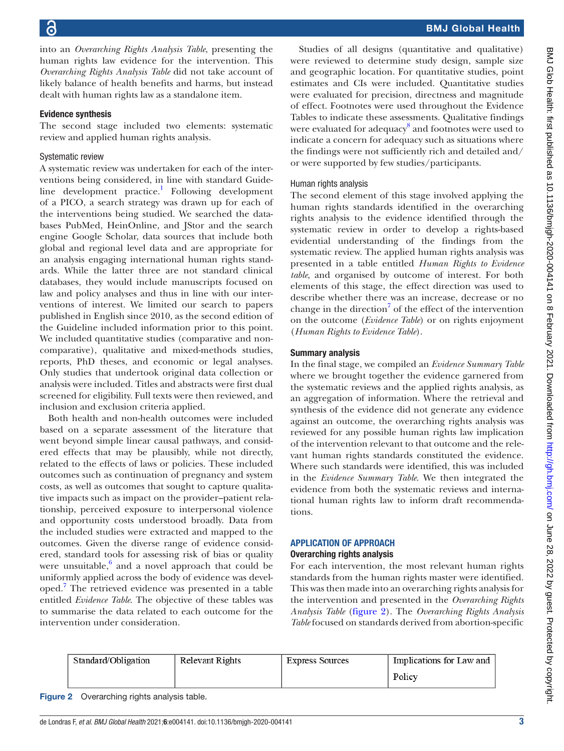into an *Overarching Rights Analysis Table*, presenting the human rights law evidence for the intervention. This *Overarching Rights Analysis Table* did not take account of likely balance of health benefits and harms, but instead dealt with human rights law as a standalone item.

#### Evidence synthesis

The second stage included two elements: systematic review and applied human rights analysis.

#### Systematic review

A systematic review was undertaken for each of the interventions being considered, in line with standard Guideline development practice.<sup>1</sup> Following development of a PICO, a search strategy was drawn up for each of the interventions being studied. We searched the databases PubMed, HeinOnline, and JStor and the search engine Google Scholar, data sources that include both global and regional level data and are appropriate for an analysis engaging international human rights standards. While the latter three are not standard clinical databases, they would include manuscripts focused on law and policy analyses and thus in line with our interventions of interest. We limited our search to papers published in English since 2010, as the second edition of the Guideline included information prior to this point. We included quantitative studies (comparative and noncomparative), qualitative and mixed-methods studies, reports, PhD theses, and economic or legal analyses. Only studies that undertook original data collection or analysis were included. Titles and abstracts were first dual screened for eligibility. Full texts were then reviewed, and inclusion and exclusion criteria applied.

Both health and non-health outcomes were included based on a separate assessment of the literature that went beyond simple linear causal pathways, and considered effects that may be plausibly, while not directly, related to the effects of laws or policies. These included outcomes such as continuation of pregnancy and system costs, as well as outcomes that sought to capture qualitative impacts such as impact on the provider–patient relationship, perceived exposure to interpersonal violence and opportunity costs understood broadly. Data from the included studies were extracted and mapped to the outcomes. Given the diverse range of evidence considered, standard tools for assessing risk of bias or quality were unsuitable, $6$  and a novel approach that could be uniformly applied across the body of evidence was developed.[7](#page-6-0) The retrieved evidence was presented in a table entitled *Evidence Table*. The objective of these tables was to summarise the data related to each outcome for the intervention under consideration.

Studies of all designs (quantitative and qualitative) were reviewed to determine study design, sample size and geographic location. For quantitative studies, point estimates and CIs were included. Quantitative studies were evaluated for precision, directness and magnitude of effect. Footnotes were used throughout the Evidence Tables to indicate these assessments. Qualitative findings were evaluated for adequacy<sup>[8](#page-6-1)</sup> and footnotes were used to indicate a concern for adequacy such as situations where the findings were not sufficiently rich and detailed and/ or were supported by few studies/participants.

#### Human rights analysis

The second element of this stage involved applying the human rights standards identified in the overarching rights analysis to the evidence identified through the systematic review in order to develop a rights-based evidential understanding of the findings from the systematic review. The applied human rights analysis was presented in a table entitled *Human Rights to Evidence table*, and organised by outcome of interest. For both elements of this stage, the effect direction was used to describe whether there was an increase, decrease or no change in the direction<sup>7</sup> of the effect of the intervention on the outcome (*Evidence Table*) or on rights enjoyment (*Human Rights to Evidence Table*).

#### Summary analysis

In the final stage, we compiled an *Evidence Summary Table* where we brought together the evidence garnered from the systematic reviews and the applied rights analysis, as an aggregation of information. Where the retrieval and synthesis of the evidence did not generate any evidence against an outcome, the overarching rights analysis was reviewed for any possible human rights law implication of the intervention relevant to that outcome and the relevant human rights standards constituted the evidence. Where such standards were identified, this was included in the *Evidence Summary Table*. We then integrated the evidence from both the systematic reviews and international human rights law to inform draft recommendations.

#### APPLICATION OF APPROACH Overarching rights analysis

For each intervention, the most relevant human rights standards from the human rights master were identified. This was then made into an overarching rights analysis for the intervention and presented in the *Overarching Rights Analysis Table* [\(figure](#page-2-0) 2). The *Overarching Rights Analysis Table* focused on standards derived from abortion-specific

<span id="page-2-0"></span>

| Standard/Obligation | Relevant Rights | Express Sources | Implications for Law and |
|---------------------|-----------------|-----------------|--------------------------|
|                     |                 |                 | Policy                   |

| <b>Figure 2</b> | Overarching rights analysis table. |  |  |  |
|-----------------|------------------------------------|--|--|--|
|-----------------|------------------------------------|--|--|--|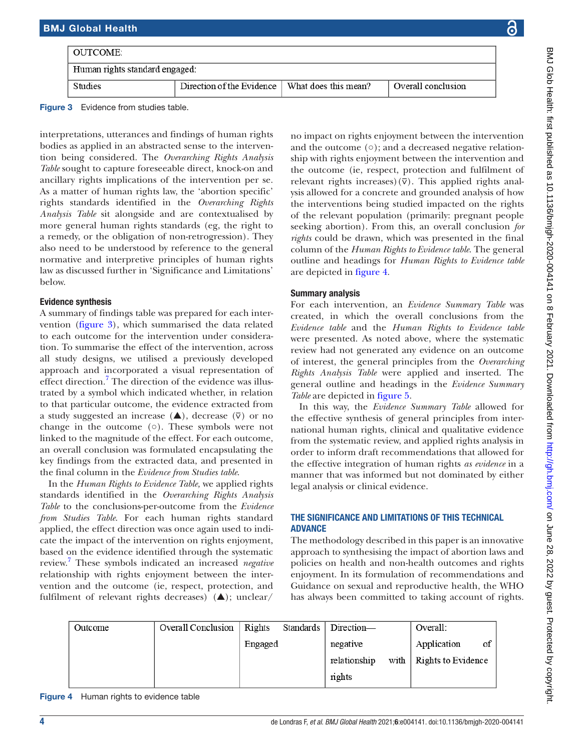| OUTCOME:-                      |                                                  |  |                    |  |
|--------------------------------|--------------------------------------------------|--|--------------------|--|
| Human rights standard engaged: |                                                  |  |                    |  |
| Studies                        | Direction of the Evidence   What does this mean? |  | Overall conclusion |  |

<span id="page-3-0"></span>Figure 3 Evidence from studies table.

interpretations, utterances and findings of human rights bodies as applied in an abstracted sense to the intervention being considered. The *Overarching Rights Analysis Table* sought to capture foreseeable direct, knock-on and ancillary rights implications of the intervention per se. As a matter of human rights law, the 'abortion specific' rights standards identified in the *Overarching Rights Analysis Table* sit alongside and are contextualised by more general human rights standards (eg, the right to a remedy, or the obligation of non-retrogression). They also need to be understood by reference to the general normative and interpretive principles of human rights law as discussed further in 'Significance and Limitations' below.

#### Evidence synthesis

A summary of findings table was prepared for each intervention ([figure](#page-3-0) 3), which summarised the data related to each outcome for the intervention under consideration. To summarise the effect of the intervention, across all study designs, we utilised a previously developed approach and incorporated a visual representation of effect direction.<sup>[7](#page-6-0)</sup> The direction of the evidence was illustrated by a symbol which indicated whether, in relation to that particular outcome, the evidence extracted from a study suggested an increase  $(\triangle)$ , decrease  $(\overline{v})$  or no change in the outcome  $(0)$ . These symbols were not linked to the magnitude of the effect. For each outcome, an overall conclusion was formulated encapsulating the key findings from the extracted data, and presented in the final column in the *Evidence from Studies table*.

In the *Human Rights to Evidence Table,* we applied rights standards identified in the *Overarching Rights Analysis Table* to the conclusions-per-outcome from the *Evidence from Studies Table*. For each human rights standard applied, the effect direction was once again used to indicate the impact of the intervention on rights enjoyment, based on the evidence identified through the systematic review.[7](#page-6-0) These symbols indicated an increased *negative* relationship with rights enjoyment between the intervention and the outcome (ie, respect, protection, and fulfilment of relevant rights decreases)  $(\triangle)$ ; unclear/

no impact on rights enjoyment between the intervention and the outcome (○); and a decreased negative relationship with rights enjoyment between the intervention and the outcome (ie, respect, protection and fulfilment of relevant rights increases)( $\overline{v}$ ). This applied rights analysis allowed for a concrete and grounded analysis of how the interventions being studied impacted on the rights of the relevant population (primarily: pregnant people seeking abortion). From this, an overall conclusion *for rights* could be drawn, which was presented in the final column of the *Human Rights to Evidence table*. The general outline and headings for *Human Rights to Evidence table* are depicted in [figure](#page-3-1) 4.

#### Summary analysis

For each intervention, an *Evidence Summary Table* was created, in which the overall conclusions from the *Evidence table* and the *Human Rights to Evidence table* were presented. As noted above, where the systematic review had not generated any evidence on an outcome of interest, the general principles from the *Overarching Rights Analysis Table* were applied and inserted. The general outline and headings in the *Evidence Summary Table* are depicted in [figure](#page-4-0) 5.

In this way, the *Evidence Summary Table* allowed for the effective synthesis of general principles from international human rights, clinical and qualitative evidence from the systematic review, and applied rights analysis in order to inform draft recommendations that allowed for the effective integration of human rights *as evidence* in a manner that was informed but not dominated by either legal analysis or clinical evidence.

#### THE SIGNIFICANCE AND LIMITATIONS OF THIS TECHNICAL ADVANCE

The methodology described in this paper is an innovative approach to synthesising the impact of abortion laws and policies on health and non-health outcomes and rights enjoyment. In its formulation of recommendations and Guidance on sexual and reproductive health, the WHO has always been committed to taking account of rights.

| Outcome | Overall Conclusion | Rights  | Standards | Direction-   |      | Overall:           |    |
|---------|--------------------|---------|-----------|--------------|------|--------------------|----|
|         |                    | Engaged |           | negative     |      | Application        | of |
|         |                    |         |           | relationship | with | Rights to Evidence |    |
|         |                    |         |           | rights       |      |                    |    |

<span id="page-3-1"></span>Figure 4 Human rights to evidence table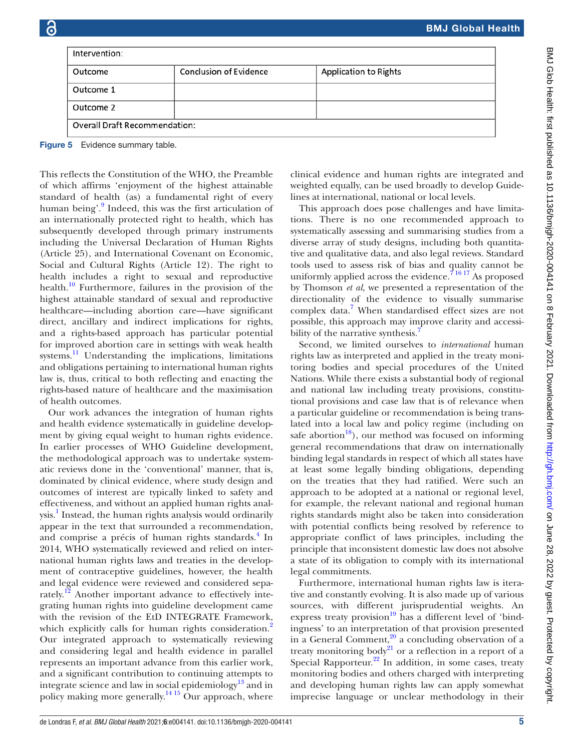| Intervention:                                                                                                                                                                                                               |                                                 |                                                                                                                                                                                                                                                                                              |
|-----------------------------------------------------------------------------------------------------------------------------------------------------------------------------------------------------------------------------|-------------------------------------------------|----------------------------------------------------------------------------------------------------------------------------------------------------------------------------------------------------------------------------------------------------------------------------------------------|
|                                                                                                                                                                                                                             |                                                 |                                                                                                                                                                                                                                                                                              |
| Outcome                                                                                                                                                                                                                     | <b>Conclusion of Evidence</b>                   | Application to Rights                                                                                                                                                                                                                                                                        |
| Outcome 1                                                                                                                                                                                                                   |                                                 |                                                                                                                                                                                                                                                                                              |
| Outcome 2                                                                                                                                                                                                                   |                                                 |                                                                                                                                                                                                                                                                                              |
| <b>Overall Draft Recommendation:</b>                                                                                                                                                                                        |                                                 |                                                                                                                                                                                                                                                                                              |
| Evidence summary table.                                                                                                                                                                                                     |                                                 |                                                                                                                                                                                                                                                                                              |
|                                                                                                                                                                                                                             |                                                 |                                                                                                                                                                                                                                                                                              |
|                                                                                                                                                                                                                             | lects the Constitution of the WHO, the Preamble | clinical evidence and human rights are integrated and                                                                                                                                                                                                                                        |
| $1$ $0.1$ $1.1$ $1.1$ $0.1$ $0.1$ $0.1$ $0.1$ $0.1$ $0.1$ $0.1$ $0.1$ $0.1$ $0.1$ $0.1$ $0.1$ $0.1$ $0.1$ $0.1$ $0.1$ $0.1$ $0.1$ $0.1$ $0.1$ $0.1$ $0.1$ $0.1$ $0.1$ $0.1$ $0.1$ $0.1$ $0.1$ $0.1$ $0.1$ $0.1$ $0.1$ $0.1$ | h affirms 'enjoyment of the highest attainable  | weighted equally, can be used broadly to develop Guide-<br>$\mathbf{1}$ . The set of the set of the set of the set of the set of the set of the set of the set of the set of the set of the set of the set of the set of the set of the set of the set of the set of the set of the set of t |

lines at international, national or local levels. This approach does pose challenges and have limitations. There is no one recommended approach to systematically assessing and summarising studies from a diverse array of study designs, including both quantitative and qualitative data, and also legal reviews. Standard tools used to assess risk of bias and quality cannot be uniformly applied across the evidence.<sup> $71617$ </sup> As proposed by Thomson *et al*, we presented a representation of the directionality of the evidence to visually summarise complex data.<sup>[7](#page-6-0)</sup> When standardised effect sizes are not possible, this approach may improve clarity and accessi-bility of the narrative synthesis.<sup>[7](#page-6-0)</sup>

Second, we limited ourselves to *international* human rights law as interpreted and applied in the treaty monitoring bodies and special procedures of the United Nations. While there exists a substantial body of regional and national law including treaty provisions, constitutional provisions and case law that is of relevance when a particular guideline or recommendation is being translated into a local law and policy regime (including on safe abortion<sup>[18](#page-6-8)</sup>), our method was focused on informing general recommendations that draw on internationally binding legal standards in respect of which all states have at least some legally binding obligations, depending on the treaties that they had ratified. Were such an approach to be adopted at a national or regional level, for example, the relevant national and regional human rights standards might also be taken into consideration with potential conflicts being resolved by reference to appropriate conflict of laws principles, including the principle that inconsistent domestic law does not absolve a state of its obligation to comply with its international legal commitments.

Furthermore, international human rights law is iterative and constantly evolving. It is also made up of various sources, with different jurisprudential weights. An express treaty provision $^{19}$  has a different level of 'bindingness' to an interpretation of that provision presented in a General Comment,<sup>20</sup> a concluding observation of a treaty monitoring body<sup>21</sup> or a reflection in a report of a Special Rapporteur.<sup>22</sup> In addition, in some cases, treaty monitoring bodies and others charged with interpreting and developing human rights law can apply somewhat imprecise language or unclear methodology in their

<span id="page-4-0"></span>

This reflects the Constitution of the Constitution of the Constitution of the Constitution of the VHO, the Preof which affirms 'e standard of health (as) a fundamental right of every human being'.<sup>[9](#page-6-2)</sup> Indeed, this was the first articulation of an internationally protected right to health, which has subsequently developed through primary instruments including the Universal Declaration of Human Rights (Article 25), and International Covenant on Economic, Social and Cultural Rights (Article 12). The right to health includes a right to sexual and reproductive health. $\frac{10}{10}$  $\frac{10}{10}$  $\frac{10}{10}$  Furthermore, failures in the provision of the highest attainable standard of sexual and reproductive healthcare—including abortion care—have significant direct, ancillary and indirect implications for rights, and a rights-based approach has particular potential for improved abortion care in settings with weak health systems.<sup>11</sup> Understanding the implications, limitations and obligations pertaining to international human rights law is, thus, critical to both reflecting and enacting the rights-based nature of healthcare and the maximisation of health outcomes.

Our work advances the integration of human rights and health evidence systematically in guideline development by giving equal weight to human rights evidence. In earlier processes of WHO Guideline development, the methodological approach was to undertake systematic reviews done in the 'conventional' manner, that is, dominated by clinical evidence, where study design and outcomes of interest are typically linked to safety and effectiveness, and without an applied human rights anal-ysis.<sup>[1](#page-5-0)</sup> Instead, the human rights analysis would ordinarily appear in the text that surrounded a recommendation, and comprise a précis of human rights standards.<sup>[4](#page-5-3)</sup> In 2014, WHO systematically reviewed and relied on international human rights laws and treaties in the development of contraceptive guidelines, however, the health and legal evidence were reviewed and considered separately.<sup>12</sup> Another important advance to effectively integrating human rights into guideline development came with the revision of the EtD INTEGRATE Framework, which explicitly calls for human rights consideration.<sup>[2](#page-5-1)</sup> Our integrated approach to systematically reviewing and considering legal and health evidence in parallel represents an important advance from this earlier work, and a significant contribution to continuing attempts to integrate science and law in social epidemiology<sup>13</sup> and in policy making more generally.<sup>14 15</sup> Our approach, where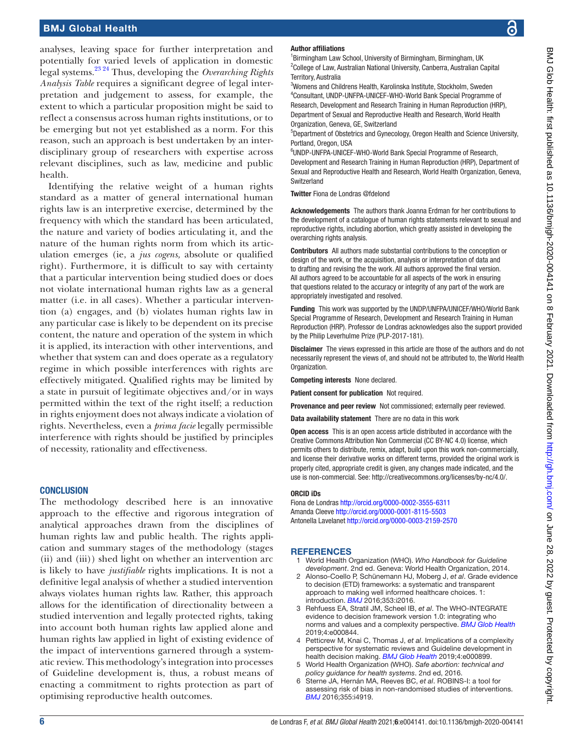#### BMJ Global Health

analyses, leaving space for further interpretation and potentially for varied levels of application in domestic legal systems.[23 24](#page-6-13) Thus, developing the *Overarching Rights Analysis Table* requires a significant degree of legal interpretation and judgement to assess, for example, the extent to which a particular proposition might be said to reflect a consensus across human rights institutions, or to be emerging but not yet established as a norm. For this reason, such an approach is best undertaken by an interdisciplinary group of researchers with expertise across relevant disciplines, such as law, medicine and public health.

Identifying the relative weight of a human rights standard as a matter of general international human rights law is an interpretive exercise, determined by the frequency with which the standard has been articulated, the nature and variety of bodies articulating it, and the nature of the human rights norm from which its articulation emerges (ie, a *jus cogens,* absolute or qualified right). Furthermore, it is difficult to say with certainty that a particular intervention being studied does or does not violate international human rights law as a general matter (i.e. in all cases). Whether a particular intervention (a) engages, and (b) violates human rights law in any particular case is likely to be dependent on its precise content, the nature and operation of the system in which it is applied, its interaction with other interventions, and whether that system can and does operate as a regulatory regime in which possible interferences with rights are effectively mitigated. Qualified rights may be limited by a state in pursuit of legitimate objectives and/or in ways permitted within the text of the right itself; a reduction in rights enjoyment does not always indicate a violation of rights. Nevertheless, even a *prima facie* legally permissible interference with rights should be justified by principles of necessity, rationality and effectiveness.

#### **CONCLUSION**

The methodology described here is an innovative approach to the effective and rigorous integration of analytical approaches drawn from the disciplines of human rights law and public health. The rights application and summary stages of the methodology (stages (ii) and (iii)) shed light on whether an intervention arc is likely to have *justifiable* rights implications. It is not a definitive legal analysis of whether a studied intervention always violates human rights law. Rather, this approach allows for the identification of directionality between a studied intervention and legally protected rights, taking into account both human rights law applied alone and human rights law applied in light of existing evidence of the impact of interventions garnered through a systematic review. This methodology's integration into processes of Guideline development is, thus, a robust means of enacting a commitment to rights protection as part of optimising reproductive health outcomes.

#### Author affiliations

<sup>1</sup>Birmingham Law School, University of Birmingham, Birmingham, UK <sup>2</sup>College of Law, Australian National University, Canberra, Australian Capital Territory, Australia

3 Womens and Childrens Health, Karolinska Institute, Stockholm, Sweden 4 Consultant, UNDP-UNFPA-UNICEF-WHO-World Bank Special Programme of Research, Development and Research Training in Human Reproduction (HRP), Department of Sexual and Reproductive Health and Research, World Health Organization, Geneva, GE, Switzerland

5 Department of Obstetrics and Gynecology, Oregon Health and Science University, Portland, Oregon, USA

6 UNDP-UNFPA-UNICEF-WHO-World Bank Special Programme of Research, Development and Research Training in Human Reproduction (HRP), Department of Sexual and Reproductive Health and Research, World Health Organization, Geneva, Switzerland

Twitter Fiona de Londras [@fdelond](https://twitter.com/fdelond)

Acknowledgements The authors thank Joanna Erdman for her contributions to the development of a catalogue of human rights statements relevant to sexual and reproductive rights, including abortion, which greatly assisted in developing the overarching rights analysis.

Contributors All authors made substantial contributions to the conception or design of the work, or the acquisition, analysis or interpretation of data and to drafting and revising the the work. All authors approved the final version. All authors agreed to be accountable for all aspects of the work in ensuring that questions related to the accuracy or integrity of any part of the work are appropriately investigated and resolved.

Funding This work was supported by the UNDP/UNFPA/UNICEF/WHO/World Bank Special Programme of Research, Development and Research Training in Human Reproduction (HRP). Professor de Londras acknowledges also the support provided by the Philip Leverhulme Prize (PLP-2017-181).

Disclaimer The views expressed in this article are those of the authors and do not necessarily represent the views of, and should not be attributed to, the World Health Organization.

Competing interests None declared.

Patient consent for publication Not required.

Provenance and peer review Not commissioned; externally peer reviewed.

Data availability statement There are no data in this work

Open access This is an open access article distributed in accordance with the Creative Commons Attribution Non Commercial (CC BY-NC 4.0) license, which permits others to distribute, remix, adapt, build upon this work non-commercially, and license their derivative works on different terms, provided the original work is properly cited, appropriate credit is given, any changes made indicated, and the use is non-commercial. See: <http://creativecommons.org/licenses/by-nc/4.0/>.

#### ORCID iDs

Fiona de Londras <http://orcid.org/0000-0002-3555-6311> Amanda Cleeve <http://orcid.org/0000-0001-8115-5503> Antonella Lavelanet <http://orcid.org/0000-0003-2159-2570>

#### <span id="page-5-0"></span>**REFERENCES**

- 1 World Health Organization (WHO). *Who Handbook for Guideline development*. 2nd ed. Geneva: World Health Organization, 2014.
- <span id="page-5-1"></span>2 Alonso-Coello P, Schünemann HJ, Moberg J, *et al*. Grade evidence to decision (ETD) frameworks: a systematic and transparent approach to making well informed healthcare choices. 1: introduction. *[BMJ](http://dx.doi.org/10.1136/bmj.i2016)* 2016;353:i2016.
- <span id="page-5-2"></span>3 Rehfuess EA, Stratil JM, Scheel IB, *et al*. The WHO-INTEGRATE evidence to decision framework version 1.0: integrating who norms and values and a complexity perspective. *[BMJ Glob Health](http://dx.doi.org/10.1136/bmjgh-2018-000844)* 2019;4:e000844.
- <span id="page-5-3"></span>4 Petticrew M, Knai C, Thomas J, *et al*. Implications of a complexity perspective for systematic reviews and Guideline development in health decision making. *[BMJ Glob Health](http://dx.doi.org/10.1136/bmjgh-2018-000899)* 2019;4:e000899.
- <span id="page-5-4"></span>5 World Health Organization (WHO). *Safe abortion: technical and policy guidance for health systems*. 2nd ed, 2016.
- <span id="page-5-5"></span>6 Sterne JA, Hernán MA, Reeves BC, *et al*. ROBINS-I: a tool for assessing risk of bias in non-randomised studies of interventions. *[BMJ](http://dx.doi.org/10.1136/bmj.i4919)* 2016;355:i4919.